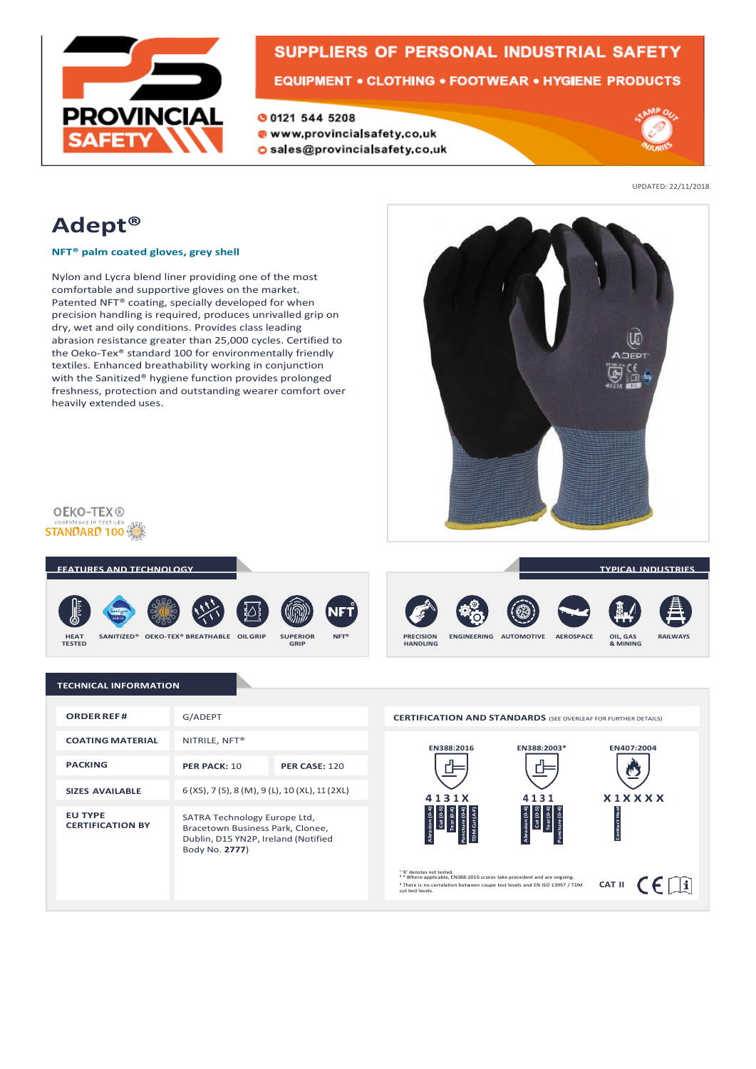

# **SUPPLIERS OF PERSONAL INDUSTRIAL SAFETY**

**EQUIPMENT • CLOTHING • FOOTWEAR • HYGIENE PRODUCTS** 

O 0121 544 5208 www.provincialsafety.co.uk O sales@provincialsafety.co.uk



UPDATED: 22/11/2018

## **Adept®**

**NFT® palm coated gloves, grey shell**

Nylon and Lycra blend liner providing one of the most comfortable and supportive gloves on the market. Patented NFT® coating, specially developed for when precision handling is required, produces unrivalled grip on dry, wet and oily conditions. Provides class leading abrasion resistance greater than 25,000 cycles. Certified to the Oeko-Tex® standard 100 for environmentally friendly textiles. Enhanced breathability working in conjunction with the Sanitized® hygiene function provides prolonged freshness, protection and outstanding wearer comfort over heavily extended uses.



**OEKO-TEX® STANDARD 100 ...** 



### **TECHNICAL INFORMATION**

| <b>ORDER REF#</b>                         | G/ADEPT                                                                                                                   |                      |
|-------------------------------------------|---------------------------------------------------------------------------------------------------------------------------|----------------------|
| <b>COATING MATERIAL</b>                   | NITRILE, NFT <sup>®</sup>                                                                                                 |                      |
| <b>PACKING</b>                            | PER PACK: 10                                                                                                              | <b>PER CASE: 120</b> |
| <b>SIZES AVAILABLE</b>                    | 6 (XS), 7 (S), 8 (M), 9 (L), 10 (XL), 11 (2XL)                                                                            |                      |
| <b>EU TYPE</b><br><b>CERTIFICATION BY</b> | SATRA Technology Europe Ltd,<br>Bracetown Business Park, Clonee,<br>Dublin, D15 YN2P, Ireland (Notified<br>Body No. 2777) |                      |